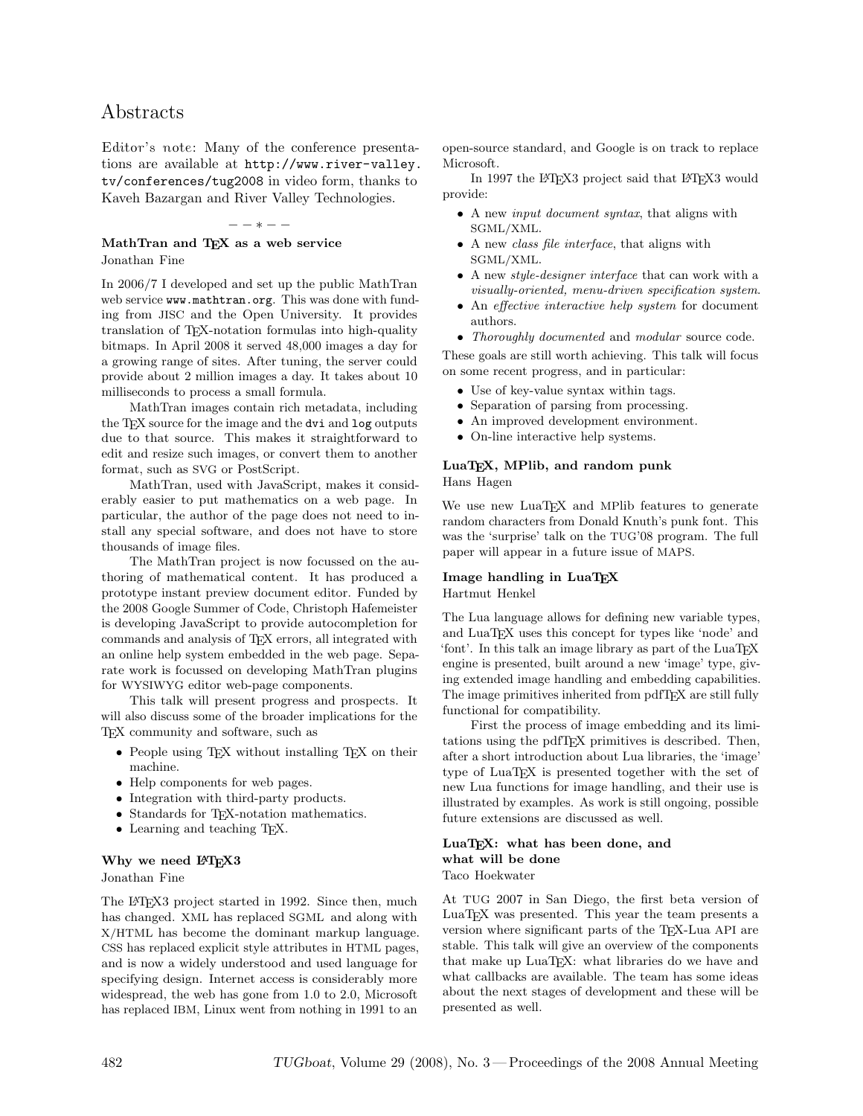# Abstracts

Editor's note: Many of the conference presentations are available at [http://www.river-valley.](http://www.river-valley.tv/conferences/tug2008) [tv/conferences/tug2008](http://www.river-valley.tv/conferences/tug2008) in video form, thanks to Kaveh Bazargan and River Valley Technologies.

### $*$   $-$

#### MathTran and TEX as a web service Jonathan Fine

In 2006/7 I developed and set up the public MathTran web service www.mathtran.org. This was done with funding from JISC and the Open University. It provides translation of TEX-notation formulas into high-quality bitmaps. In April 2008 it served 48,000 images a day for a growing range of sites. After tuning, the server could provide about 2 million images a day. It takes about 10 milliseconds to process a small formula.

MathTran images contain rich metadata, including the T<sub>E</sub>X source for the image and the dvi and log outputs due to that source. This makes it straightforward to edit and resize such images, or convert them to another format, such as SVG or PostScript.

MathTran, used with JavaScript, makes it considerably easier to put mathematics on a web page. In particular, the author of the page does not need to install any special software, and does not have to store thousands of image files.

The MathTran project is now focussed on the authoring of mathematical content. It has produced a prototype instant preview document editor. Funded by the 2008 Google Summer of Code, Christoph Hafemeister is developing JavaScript to provide autocompletion for commands and analysis of TEX errors, all integrated with an online help system embedded in the web page. Separate work is focussed on developing MathTran plugins for WYSIWYG editor web-page components.

This talk will present progress and prospects. It will also discuss some of the broader implications for the TEX community and software, such as

- People using TEX without installing TEX on their machine.
- Help components for web pages.
- Integration with third-party products.
- Standards for TEX-notation mathematics.
- Learning and teaching T<sub>E</sub>X.

#### Why we need I<sup>NT</sup>EX3

Jonathan Fine

The L<sup>AT</sup>FX3 project started in 1992. Since then, much has changed. XML has replaced SGML and along with X/HTML has become the dominant markup language. CSS has replaced explicit style attributes in HTML pages, and is now a widely understood and used language for specifying design. Internet access is considerably more widespread, the web has gone from 1.0 to 2.0, Microsoft has replaced IBM, Linux went from nothing in 1991 to an

open-source standard, and Google is on track to replace Microsoft.

In 1997 the LATEX3 project said that LATEX3 would provide:

- A new input document syntax, that aligns with SGML/XML.
- A new class file interface, that aligns with SGML/XML.
- A new style-designer interface that can work with a visually-oriented, menu-driven specification system.
- An effective interactive help system for document authors.
- *Thoroughly documented* and *modular* source code.

These goals are still worth achieving. This talk will focus on some recent progress, and in particular:

- Use of key-value syntax within tags.
- Separation of parsing from processing.
- An improved development environment.
- On-line interactive help systems.

#### LuaTEX, MPlib, and random punk Hans Hagen

We use new LuaT<sub>F</sub>X and MPlib features to generate random characters from Donald Knuth's punk font. This was the 'surprise' talk on the TUG'08 program. The full paper will appear in a future issue of MAPS.

#### Image handling in LuaTEX Hartmut Henkel

The Lua language allows for defining new variable types, and LuaTEX uses this concept for types like 'node' and 'font'. In this talk an image library as part of the LuaTFX engine is presented, built around a new 'image' type, giving extended image handling and embedding capabilities. The image primitives inherited from pdfT<sub>E</sub>X are still fully functional for compatibility.

First the process of image embedding and its limitations using the pdfTEX primitives is described. Then, after a short introduction about Lua libraries, the 'image' type of LuaTEX is presented together with the set of new Lua functions for image handling, and their use is illustrated by examples. As work is still ongoing, possible future extensions are discussed as well.

#### LuaTEX: what has been done, and what will be done Taco Hoekwater

At TUG 2007 in San Diego, the first beta version of LuaTEX was presented. This year the team presents a version where significant parts of the TEX-Lua API are stable. This talk will give an overview of the components that make up LuaT<sub>EX</sub>: what libraries do we have and what callbacks are available. The team has some ideas about the next stages of development and these will be presented as well.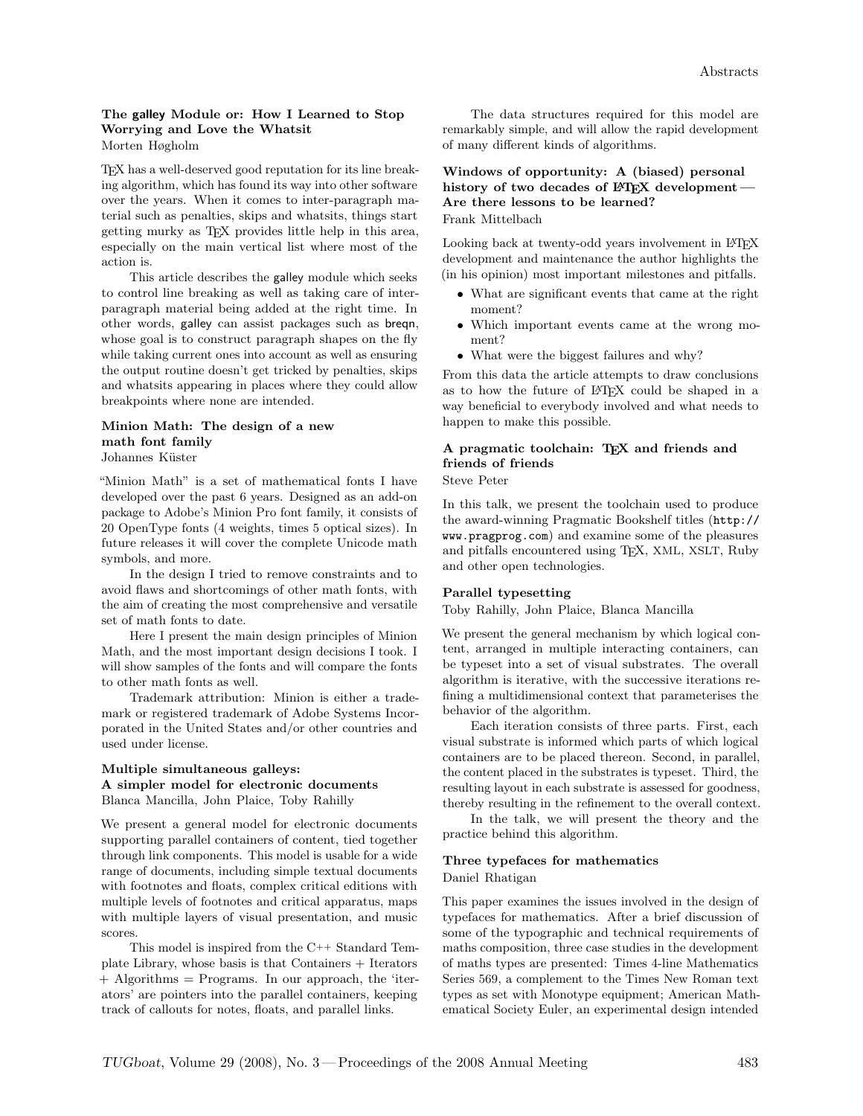#### The galley Module or: How I Learned to Stop Worrying and Love the Whatsit Morten Høgholm

TEX has a well-deserved good reputation for its line breaking algorithm, which has found its way into other software over the years. When it comes to inter-paragraph material such as penalties, skips and whatsits, things start getting murky as TEX provides little help in this area, especially on the main vertical list where most of the action is.

This article describes the galley module which seeks to control line breaking as well as taking care of interparagraph material being added at the right time. In other words, galley can assist packages such as breqn, whose goal is to construct paragraph shapes on the fly while taking current ones into account as well as ensuring the output routine doesn't get tricked by penalties, skips and whatsits appearing in places where they could allow breakpoints where none are intended.

#### Minion Math: The design of a new math font family Johannes Küster

"Minion Math" is a set of mathematical fonts I have developed over the past 6 years. Designed as an add-on package to Adobe's Minion Pro font family, it consists of 20 OpenType fonts (4 weights, times 5 optical sizes). In future releases it will cover the complete Unicode math symbols, and more.

In the design I tried to remove constraints and to avoid flaws and shortcomings of other math fonts, with the aim of creating the most comprehensive and versatile set of math fonts to date.

Here I present the main design principles of Minion Math, and the most important design decisions I took. I will show samples of the fonts and will compare the fonts to other math fonts as well.

Trademark attribution: Minion is either a trademark or registered trademark of Adobe Systems Incorporated in the United States and/or other countries and used under license.

#### Multiple simultaneous galleys: A simpler model for electronic documents Blanca Mancilla, John Plaice, Toby Rahilly

We present a general model for electronic documents supporting parallel containers of content, tied together through link components. This model is usable for a wide range of documents, including simple textual documents with footnotes and floats, complex critical editions with multiple levels of footnotes and critical apparatus, maps with multiple layers of visual presentation, and music scores.

This model is inspired from the C++ Standard Template Library, whose basis is that Containers + Iterators + Algorithms = Programs. In our approach, the 'iterators' are pointers into the parallel containers, keeping track of callouts for notes, floats, and parallel links.

The data structures required for this model are remarkably simple, and will allow the rapid development of many different kinds of algorithms.

Windows of opportunity: A (biased) personal history of two decades of  $\mathbb{F}T_FX$  development — Are there lessons to be learned? Frank Mittelbach

Looking back at twenty-odd years involvement in LAT<sub>EX</sub> development and maintenance the author highlights the (in his opinion) most important milestones and pitfalls.

- What are significant events that came at the right moment?
- Which important events came at the wrong moment?
- What were the biggest failures and why?

From this data the article attempts to draw conclusions as to how the future of LAT<sub>EX</sub> could be shaped in a way beneficial to everybody involved and what needs to happen to make this possible.

# A pragmatic toolchain: TEX and friends and friends of friends

Steve Peter

In this talk, we present the toolchain used to produce the award-winning Pragmatic Bookshelf titles ([http://](http://www.pragprog.com) [www.pragprog.com](http://www.pragprog.com)) and examine some of the pleasures and pitfalls encountered using TEX, XML, XSLT, Ruby and other open technologies.

#### Parallel typesetting

Toby Rahilly, John Plaice, Blanca Mancilla

We present the general mechanism by which logical content, arranged in multiple interacting containers, can be typeset into a set of visual substrates. The overall algorithm is iterative, with the successive iterations refining a multidimensional context that parameterises the behavior of the algorithm.

Each iteration consists of three parts. First, each visual substrate is informed which parts of which logical containers are to be placed thereon. Second, in parallel, the content placed in the substrates is typeset. Third, the resulting layout in each substrate is assessed for goodness, thereby resulting in the refinement to the overall context.

In the talk, we will present the theory and the practice behind this algorithm.

#### Three typefaces for mathematics Daniel Rhatigan

This paper examines the issues involved in the design of typefaces for mathematics. After a brief discussion of some of the typographic and technical requirements of maths composition, three case studies in the development of maths types are presented: Times 4-line Mathematics Series 569, a complement to the Times New Roman text types as set with Monotype equipment; American Mathematical Society Euler, an experimental design intended